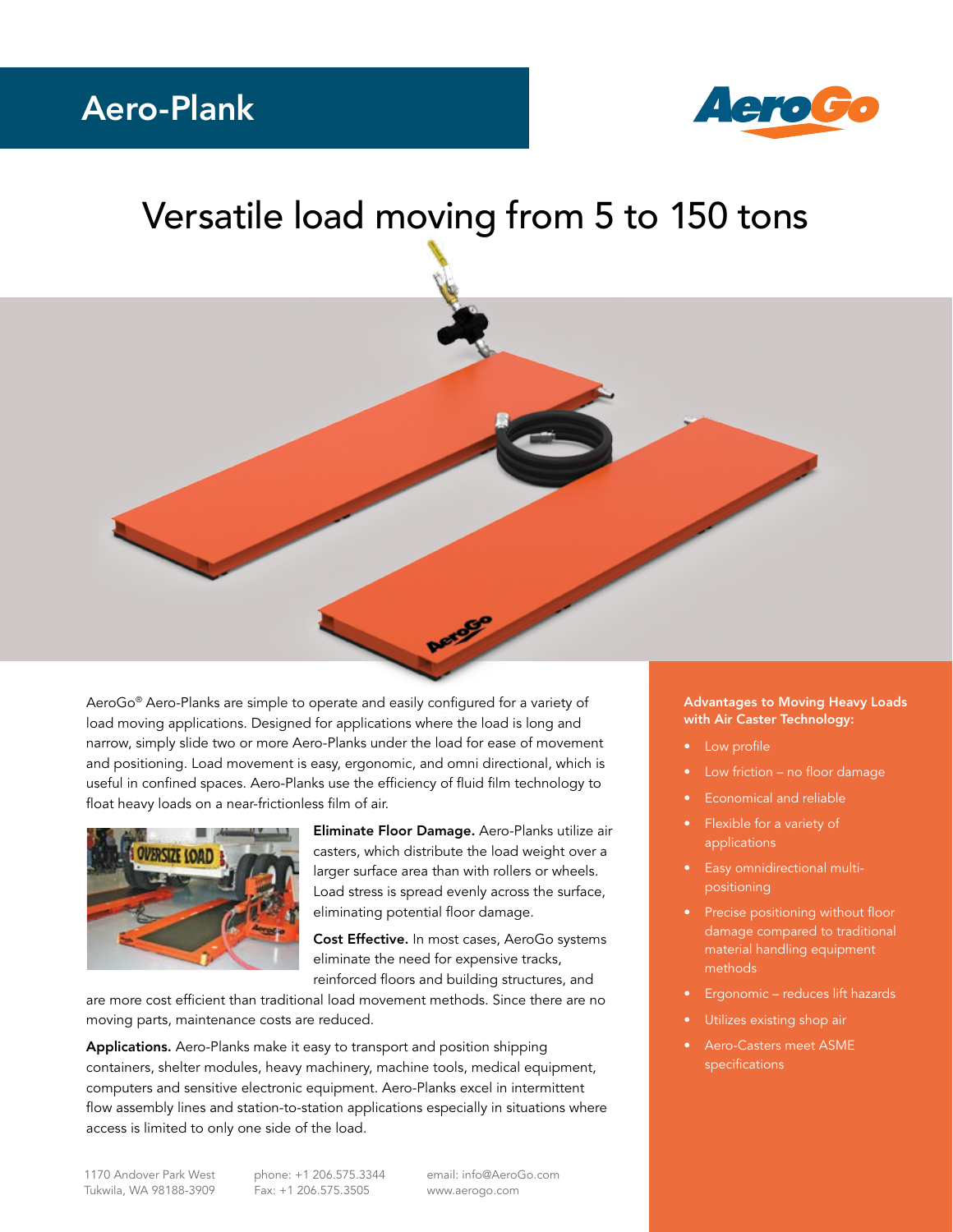## Aero-Plank



## Versatile load moving from 5 to 150 tons



AeroGo® Aero-Planks are simple to operate and easily configured for a variety of load moving applications. Designed for applications where the load is long and narrow, simply slide two or more Aero-Planks under the load for ease of movement and positioning. Load movement is easy, ergonomic, and omni directional, which is useful in confined spaces. Aero-Planks use the efficiency of fluid film technology to float heavy loads on a near-frictionless film of air.



Eliminate Floor Damage. Aero-Planks utilize air casters, which distribute the load weight over a larger surface area than with rollers or wheels. Load stress is spread evenly across the surface, eliminating potential floor damage.

Cost Effective. In most cases, AeroGo systems eliminate the need for expensive tracks, reinforced floors and building structures, and

are more cost efficient than traditional load movement methods. Since there are no moving parts, maintenance costs are reduced.

Applications. Aero-Planks make it easy to transport and position shipping containers, shelter modules, heavy machinery, machine tools, medical equipment, computers and sensitive electronic equipment. Aero-Planks excel in intermittent flow assembly lines and station-to-station applications especially in situations where access is limited to only one side of the load.

## Advantages to Moving Heavy Loads with Air Caster Technology:

- Low profile
- Low friction no floor damage
- Economical and reliable
- Flexible for a variety of applications
- Easy omnidirectional multipositioning
- Precise positioning without floor damage compared to traditional material handling equipment methods
- Ergonomic reduces lift hazards
- Utilizes existing shop air
- Aero-Casters meet ASME specifications

phone: +1 206.575.3344 Fax: +1 206.575.3505

email: info@AeroGo.com www.aerogo.com